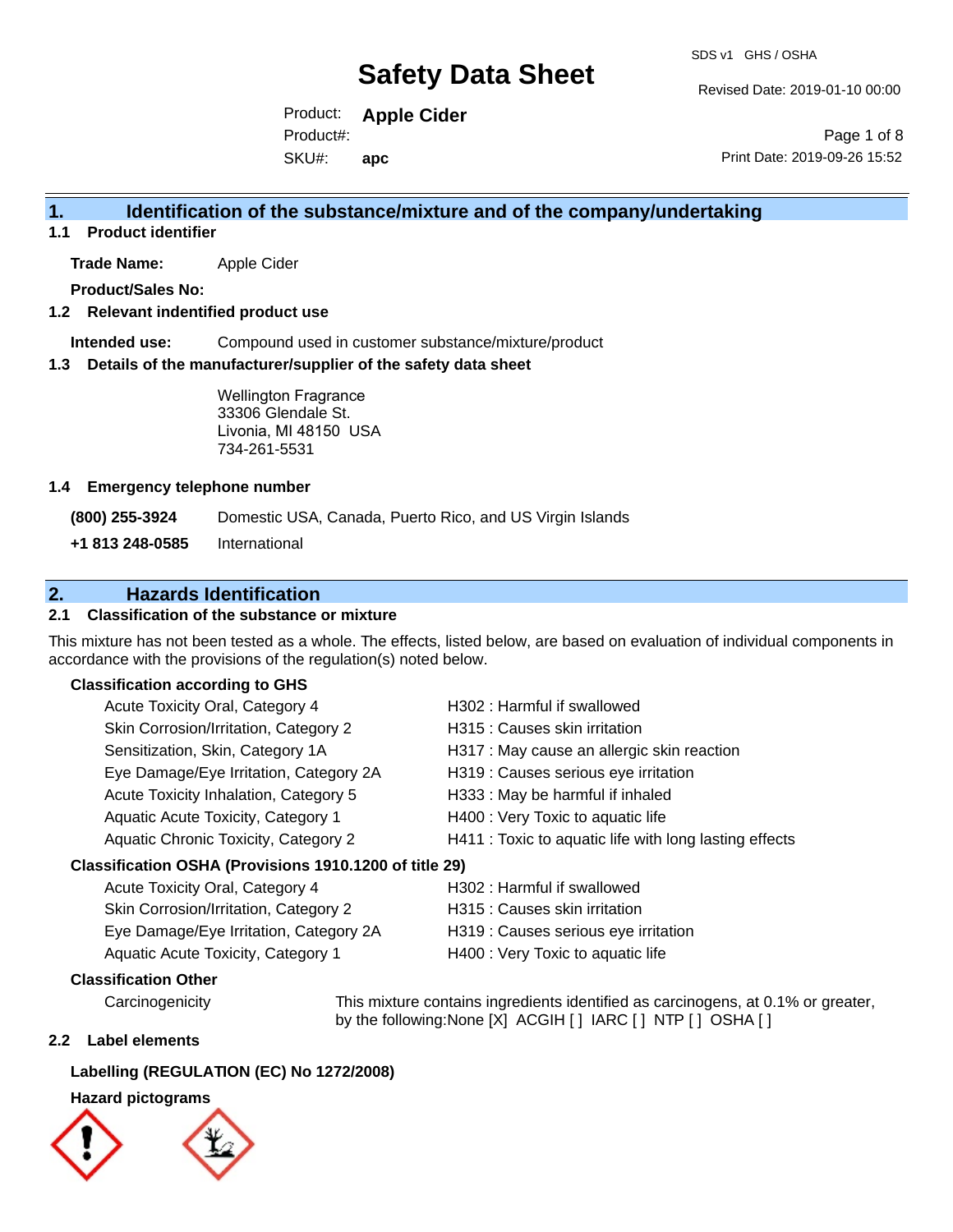Revised Date: 2019-01-10 00:00

Product: **Apple Cider** SKU#: Product#: **apc**

Page 1 of 8 Print Date: 2019-09-26 15:52

### **1. Identification of the substance/mixture and of the company/undertaking**

**1.1 Product identifier**

**Trade Name:** Apple Cider

**Product/Sales No:**

#### **1.2 Relevant indentified product use**

**Intended use:** Compound used in customer substance/mixture/product

#### **1.3 Details of the manufacturer/supplier of the safety data sheet**

Wellington Fragrance 33306 Glendale St. Livonia, MI 48150 USA 734-261-5531

#### **1.4 Emergency telephone number**

**(800) 255-3924** Domestic USA, Canada, Puerto Rico, and US Virgin Islands

**+1 813 248-0585** International

### **2. Hazards Identification**

#### **2.1 Classification of the substance or mixture**

This mixture has not been tested as a whole. The effects, listed below, are based on evaluation of individual components in accordance with the provisions of the regulation(s) noted below.

#### **Classification according to GHS**

| Acute Toxicity Oral, Category 4                     | H302: Harmful if swallowed                             |
|-----------------------------------------------------|--------------------------------------------------------|
| Skin Corrosion/Irritation, Category 2               | H315 : Causes skin irritation                          |
| Sensitization, Skin, Category 1A                    | H317 : May cause an allergic skin reaction             |
| Eye Damage/Eye Irritation, Category 2A              | H319 : Causes serious eye irritation                   |
| Acute Toxicity Inhalation, Category 5               | H333: May be harmful if inhaled                        |
| Aquatic Acute Toxicity, Category 1                  | H400 : Very Toxic to aquatic life                      |
| Aquatic Chronic Toxicity, Category 2                | H411 : Toxic to aquatic life with long lasting effects |
| ssification OSHA (Provisions 1910.1200 of title 29) |                                                        |

#### **Classification OSHA (Provisions 1910.1200 of title 29)**

| Acute Toxicity Oral, Category 4        | H302: Harmful if swallowed           |
|----------------------------------------|--------------------------------------|
| Skin Corrosion/Irritation, Category 2  | H315 : Causes skin irritation        |
| Eye Damage/Eye Irritation, Category 2A | H319 : Causes serious eye irritation |
| Aquatic Acute Toxicity, Category 1     | H400 : Very Toxic to aquatic life    |

#### **Classification Other**

Carcinogenicity This mixture contains ingredients identified as carcinogens, at 0.1% or greater, by the following:None [X] ACGIH [] IARC [] NTP [] OSHA []

#### **2.2 Label elements**

### **Labelling (REGULATION (EC) No 1272/2008)**

#### **Hazard pictograms**



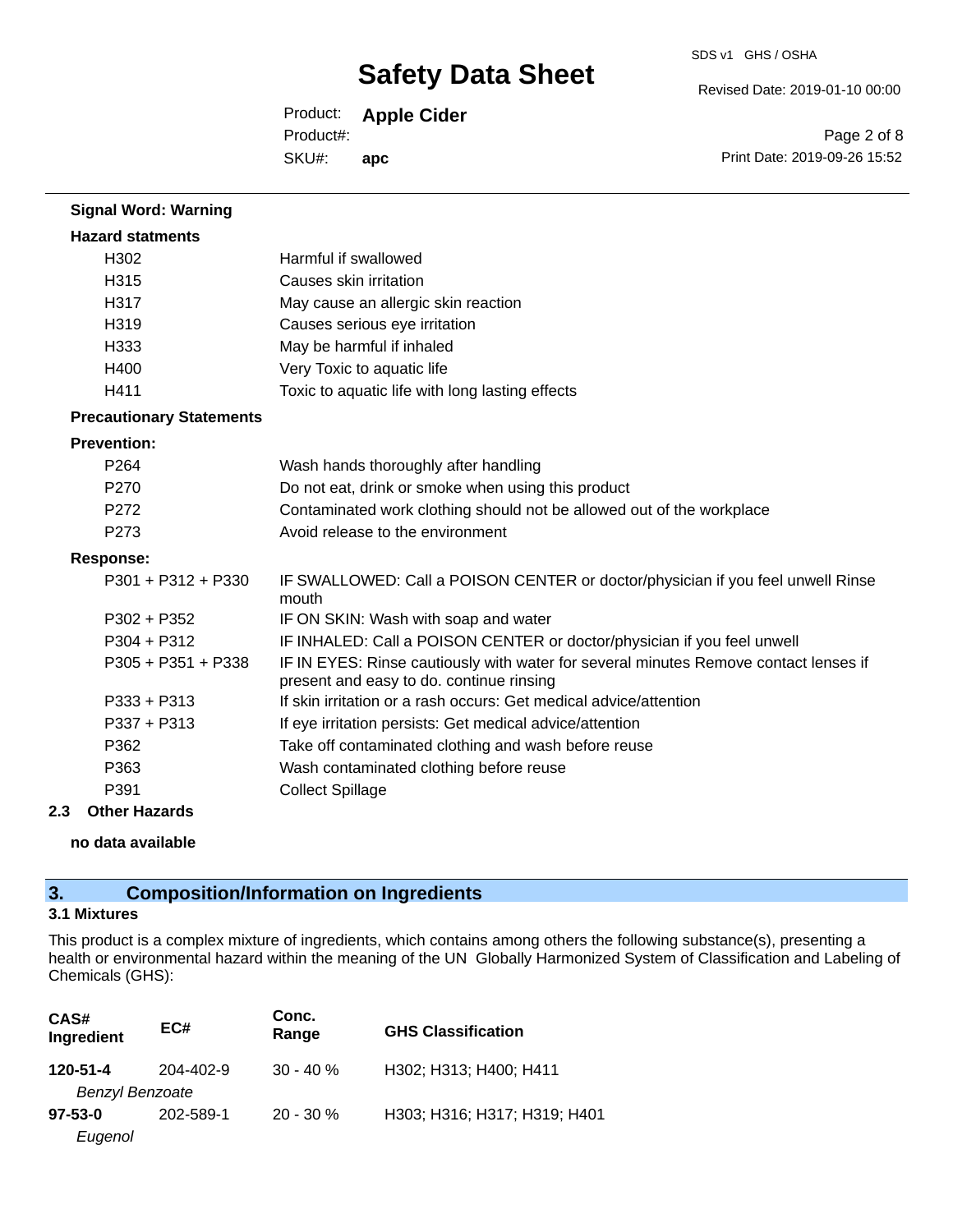Revised Date: 2019-01-10 00:00

Product: **Apple Cider** SKU#: Product#: **apc**

Page 2 of 8 Print Date: 2019-09-26 15:52

| <b>Signal Word: Warning</b>     |                                                                                                                                  |
|---------------------------------|----------------------------------------------------------------------------------------------------------------------------------|
| <b>Hazard statments</b>         |                                                                                                                                  |
| H <sub>302</sub>                | Harmful if swallowed                                                                                                             |
| H315                            | Causes skin irritation                                                                                                           |
| H317                            | May cause an allergic skin reaction                                                                                              |
| H319                            | Causes serious eye irritation                                                                                                    |
| H333                            | May be harmful if inhaled                                                                                                        |
| H400                            | Very Toxic to aquatic life                                                                                                       |
| H411                            | Toxic to aquatic life with long lasting effects                                                                                  |
| <b>Precautionary Statements</b> |                                                                                                                                  |
| <b>Prevention:</b>              |                                                                                                                                  |
| P <sub>264</sub>                | Wash hands thoroughly after handling                                                                                             |
| P <sub>270</sub>                | Do not eat, drink or smoke when using this product                                                                               |
| P272                            | Contaminated work clothing should not be allowed out of the workplace                                                            |
| P273                            | Avoid release to the environment                                                                                                 |
| <b>Response:</b>                |                                                                                                                                  |
| $P301 + P312 + P330$            | IF SWALLOWED: Call a POISON CENTER or doctor/physician if you feel unwell Rinse<br>mouth                                         |
| $P302 + P352$                   | IF ON SKIN: Wash with soap and water                                                                                             |
| $P304 + P312$                   | IF INHALED: Call a POISON CENTER or doctor/physician if you feel unwell                                                          |
| $P305 + P351 + P338$            | IF IN EYES: Rinse cautiously with water for several minutes Remove contact lenses if<br>present and easy to do. continue rinsing |
| $P333 + P313$                   | If skin irritation or a rash occurs: Get medical advice/attention                                                                |
| P337 + P313                     | If eye irritation persists: Get medical advice/attention                                                                         |
| P362                            | Take off contaminated clothing and wash before reuse                                                                             |
| P363                            | Wash contaminated clothing before reuse                                                                                          |
| P391                            | <b>Collect Spillage</b>                                                                                                          |

#### **2.3 Other Hazards**

**no data available**

## **3. Composition/Information on Ingredients**

#### **3.1 Mixtures**

This product is a complex mixture of ingredients, which contains among others the following substance(s), presenting a health or environmental hazard within the meaning of the UN Globally Harmonized System of Classification and Labeling of Chemicals (GHS):

| CAS#<br>Ingredient                      | EC#       | Conc.<br>Range | <b>GHS Classification</b>    |
|-----------------------------------------|-----------|----------------|------------------------------|
| 120-51-4                                | 204-402-9 | $30 - 40 \%$   | H302; H313; H400; H411       |
| <b>Benzyl Benzoate</b><br>$97 - 53 - 0$ | 202-589-1 | $20 - 30 \%$   | H303; H316; H317; H319; H401 |
| Eugenol                                 |           |                |                              |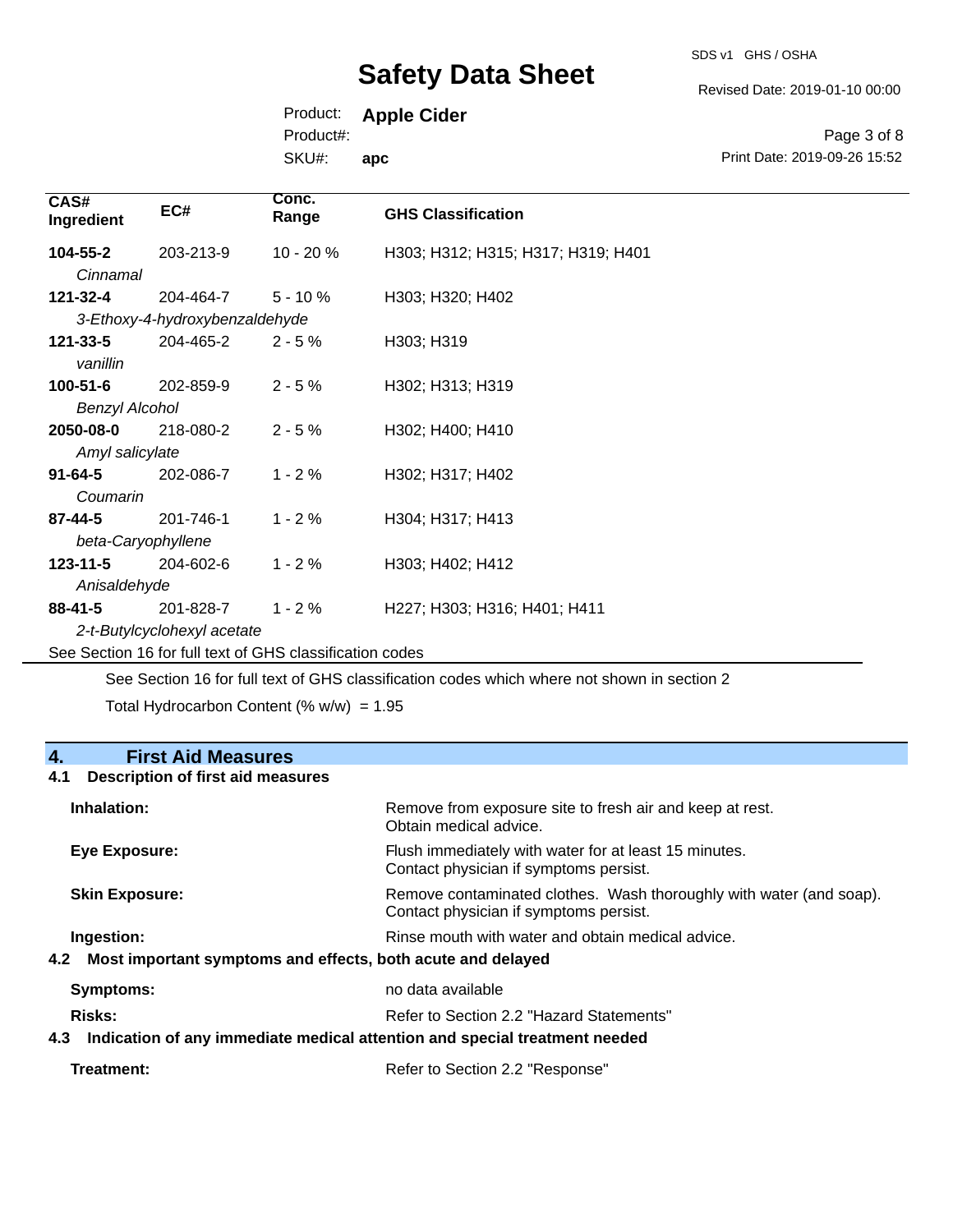SDS v1 GHS / OSHA

Revised Date: 2019-01-10 00:00

Print Date: 2019-09-26 15:52

Page 3 of 8

Product: **Apple Cider**

Product#:

SKU#: **apc**

| CAS#<br>Ingredient                                       | EC#                            | Conc.<br>Range | <b>GHS Classification</b>          |
|----------------------------------------------------------|--------------------------------|----------------|------------------------------------|
| 104-55-2<br>Cinnamal                                     | 203-213-9                      | 10 - 20 %      | H303; H312; H315; H317; H319; H401 |
| 121-32-4                                                 | 204-464-7                      | $5 - 10%$      | H303; H320; H402                   |
|                                                          | 3-Ethoxy-4-hydroxybenzaldehyde |                |                                    |
| 121-33-5<br>vanillin                                     | 204-465-2                      | $2 - 5%$       | H303; H319                         |
| $100 - 51 - 6$                                           | 202-859-9                      | $2 - 5%$       | H302; H313; H319                   |
| <b>Benzyl Alcohol</b>                                    |                                |                |                                    |
| 2050-08-0                                                | 218-080-2                      | $2 - 5%$       | H302; H400; H410                   |
| Amyl salicylate                                          |                                |                |                                    |
| $91 - 64 - 5$                                            | 202-086-7                      | $1 - 2%$       | H302; H317; H402                   |
| Coumarin                                                 |                                |                |                                    |
| 87-44-5                                                  | 201-746-1                      | $1 - 2%$       | H304; H317; H413                   |
| beta-Caryophyllene                                       |                                |                |                                    |
| $123 - 11 - 5$                                           | 204-602-6                      | $1 - 2%$       | H303; H402; H412                   |
| Anisaldehyde                                             |                                |                |                                    |
| $88 - 41 - 5$                                            | 201-828-7                      | $1 - 2%$       | H227; H303; H316; H401; H411       |
| 2-t-Butylcyclohexyl acetate                              |                                |                |                                    |
| See Section 16 for full text of GHS classification codes |                                |                |                                    |

See Section 16 for full text of GHS classification codes which where not shown in section 2

Total Hydrocarbon Content (%  $w/w$ ) = 1.95

## **4. First Aid Measures**

#### **4.1 Description of first aid measures**

| Inhalation:                                                        | Remove from exposure site to fresh air and keep at rest.<br>Obtain medical advice.                            |
|--------------------------------------------------------------------|---------------------------------------------------------------------------------------------------------------|
| Eye Exposure:                                                      | Flush immediately with water for at least 15 minutes.<br>Contact physician if symptoms persist.               |
| <b>Skin Exposure:</b>                                              | Remove contaminated clothes. Wash thoroughly with water (and soap).<br>Contact physician if symptoms persist. |
| Ingestion:                                                         | Rinse mouth with water and obtain medical advice.                                                             |
| Most important symptoms and effects, both acute and delayed<br>4.2 |                                                                                                               |
| <b>Symptoms:</b>                                                   | no data available                                                                                             |
| Risks:                                                             | Refer to Section 2.2 "Hazard Statements"                                                                      |
| 4.3                                                                | Indication of any immediate medical attention and special treatment needed                                    |

| Refer to Section 2.2 "Response" |  |
|---------------------------------|--|
|                                 |  |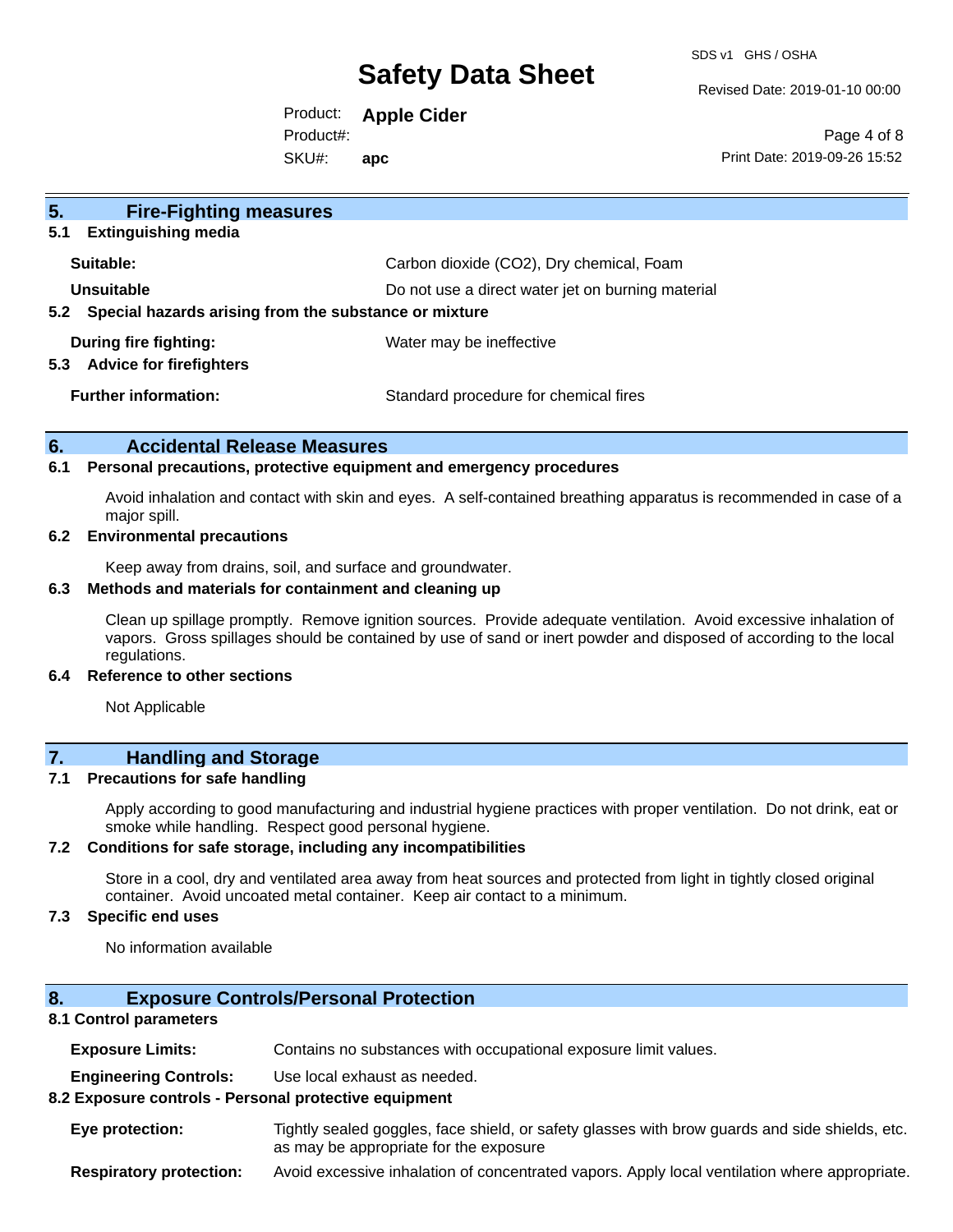SDS v1 GHS / OSHA

Revised Date: 2019-01-10 00:00

Product: **Apple Cider** SKU#: Product#: **apc**

Page 4 of 8 Print Date: 2019-09-26 15:52

| 5 <sub>1</sub><br><b>Fire-Fighting measures</b>                        |                                                   |  |
|------------------------------------------------------------------------|---------------------------------------------------|--|
| <b>Extinguishing media</b><br>5.1                                      |                                                   |  |
| Suitable:                                                              | Carbon dioxide (CO2), Dry chemical, Foam          |  |
| Unsuitable                                                             | Do not use a direct water jet on burning material |  |
| Special hazards arising from the substance or mixture<br>$5.2^{\circ}$ |                                                   |  |
| During fire fighting:<br><b>Advice for firefighters</b><br>5.3         | Water may be ineffective                          |  |
| <b>Further information:</b>                                            | Standard procedure for chemical fires             |  |

#### **6. Accidental Release Measures**

#### **6.1 Personal precautions, protective equipment and emergency procedures**

Avoid inhalation and contact with skin and eyes. A self-contained breathing apparatus is recommended in case of a major spill.

#### **6.2 Environmental precautions**

Keep away from drains, soil, and surface and groundwater.

#### **6.3 Methods and materials for containment and cleaning up**

Clean up spillage promptly. Remove ignition sources. Provide adequate ventilation. Avoid excessive inhalation of vapors. Gross spillages should be contained by use of sand or inert powder and disposed of according to the local regulations.

#### **6.4 Reference to other sections**

Not Applicable

### **7. Handling and Storage**

#### **7.1 Precautions for safe handling**

Apply according to good manufacturing and industrial hygiene practices with proper ventilation. Do not drink, eat or smoke while handling. Respect good personal hygiene.

#### **7.2 Conditions for safe storage, including any incompatibilities**

Store in a cool, dry and ventilated area away from heat sources and protected from light in tightly closed original container. Avoid uncoated metal container. Keep air contact to a minimum.

#### **7.3 Specific end uses**

No information available

#### **8. Exposure Controls/Personal Protection**

#### **8.1 Control parameters**

**Exposure Limits:** Contains no substances with occupational exposure limit values.

**Engineering Controls:** Use local exhaust as needed.

#### **8.2 Exposure controls - Personal protective equipment**

**Eye protection:** Tightly sealed goggles, face shield, or safety glasses with brow guards and side shields, etc. as may be appropriate for the exposure

**Respiratory protection:** Avoid excessive inhalation of concentrated vapors. Apply local ventilation where appropriate.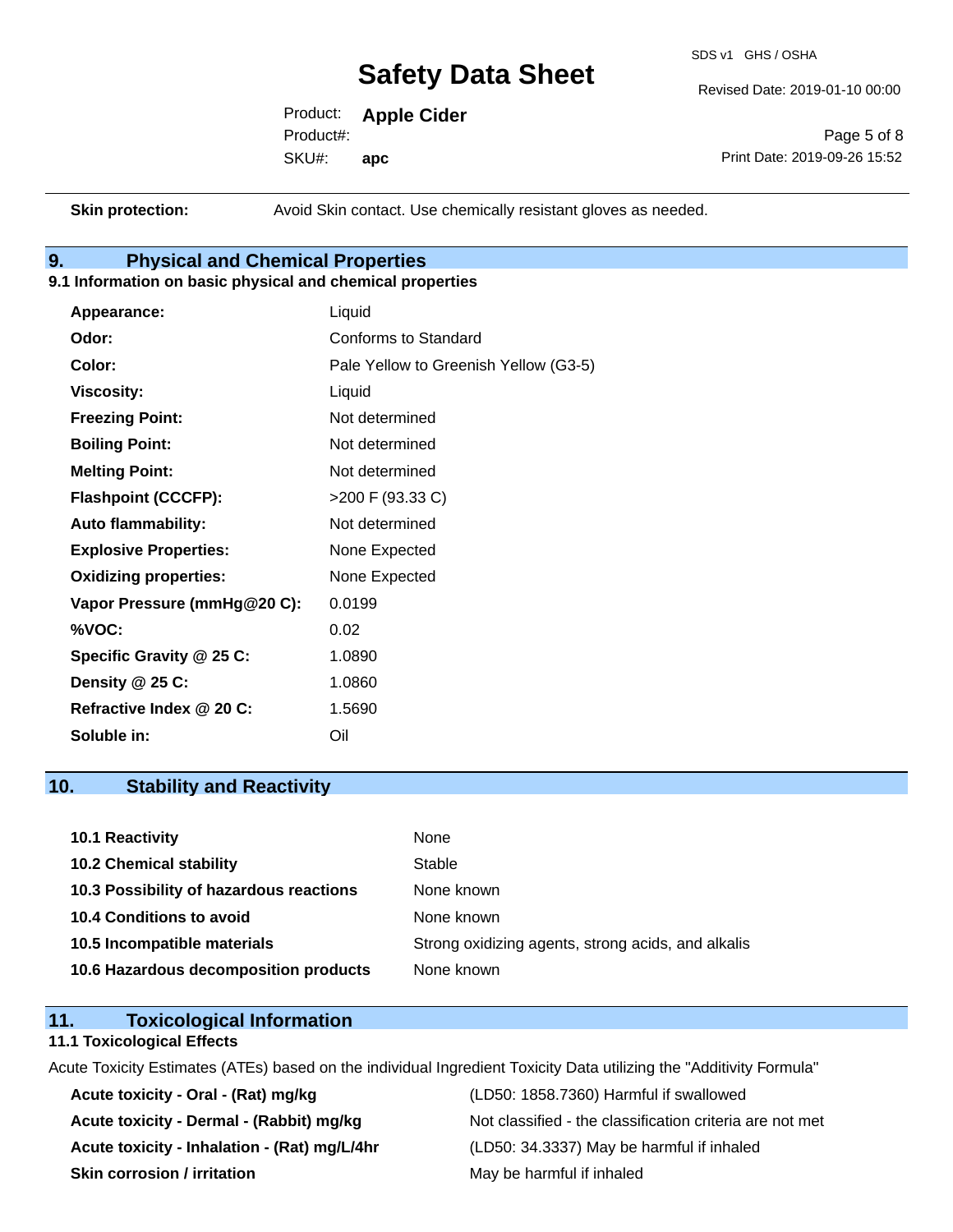SDS v1 GHS / OSHA

Revised Date: 2019-01-10 00:00

Product: **Apple Cider** SKU#: Product#: **apc**

Page 5 of 8 Print Date: 2019-09-26 15:52

**Skin protection:** Avoid Skin contact. Use chemically resistant gloves as needed.

### **9. Physical and Chemical Properties**

#### **9.1 Information on basic physical and chemical properties**

| Appearance:                  | Liquid                                |
|------------------------------|---------------------------------------|
| Odor:                        | Conforms to Standard                  |
| Color:                       | Pale Yellow to Greenish Yellow (G3-5) |
| <b>Viscosity:</b>            | Liquid                                |
| <b>Freezing Point:</b>       | Not determined                        |
| <b>Boiling Point:</b>        | Not determined                        |
| <b>Melting Point:</b>        | Not determined                        |
| <b>Flashpoint (CCCFP):</b>   | >200 F (93.33 C)                      |
| <b>Auto flammability:</b>    | Not determined                        |
| <b>Explosive Properties:</b> | None Expected                         |
| <b>Oxidizing properties:</b> | None Expected                         |
| Vapor Pressure (mmHg@20 C):  | 0.0199                                |
| %VOC:                        | 0.02                                  |
| Specific Gravity @ 25 C:     | 1.0890                                |
| Density $@25C$ :             | 1.0860                                |
| Refractive Index @ 20 C:     | 1.5690                                |
| Soluble in:                  | Oil                                   |

### **10. Stability and Reactivity**

| 10.1 Reactivity                         | None                                               |
|-----------------------------------------|----------------------------------------------------|
| <b>10.2 Chemical stability</b>          | Stable                                             |
| 10.3 Possibility of hazardous reactions | None known                                         |
| 10.4 Conditions to avoid                | None known                                         |
| 10.5 Incompatible materials             | Strong oxidizing agents, strong acids, and alkalis |
| 10.6 Hazardous decomposition products   | None known                                         |

### **11. Toxicological Information**

#### **11.1 Toxicological Effects**

Acute Toxicity Estimates (ATEs) based on the individual Ingredient Toxicity Data utilizing the "Additivity Formula"

**Acute toxicity - Oral - (Rat) mg/kg** (LD50: 1858.7360) Harmful if swallowed **Acute toxicity - Inhalation - (Rat) mg/L/4hr** (LD50: 34.3337) May be harmful if inhaled **Skin corrosion / irritation** May be harmful if inhaled

Acute toxicity - Dermal - (Rabbit) mg/kg<br>Not classified - the classification criteria are not met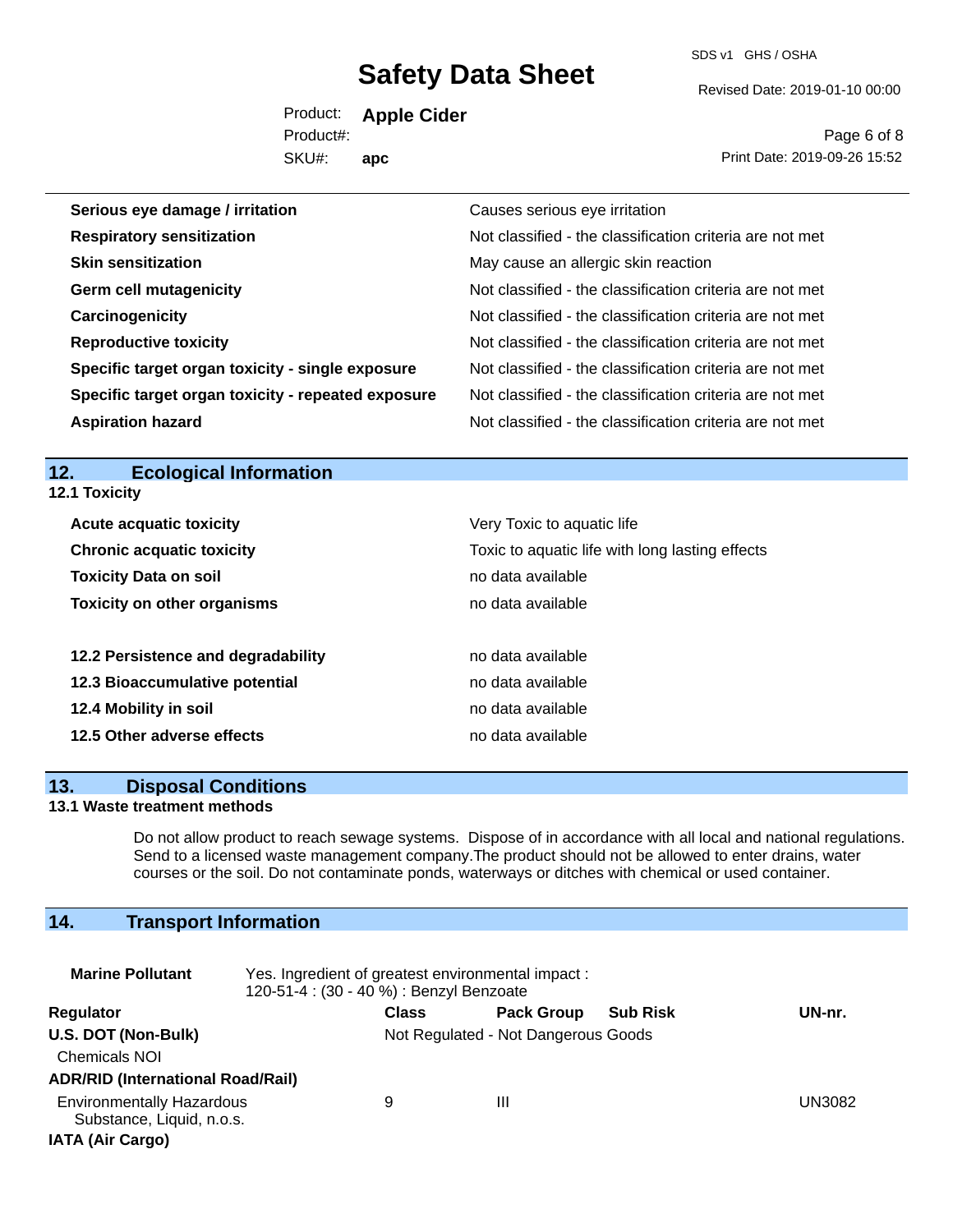SDS v1 GHS / OSHA

Revised Date: 2019-01-10 00:00

Product: **Apple Cider** SKU#: Product#: **apc**

Page 6 of 8 Print Date: 2019-09-26 15:52

| Serious eye damage / irritation                    | Causes serious eye irritation                            |
|----------------------------------------------------|----------------------------------------------------------|
| <b>Respiratory sensitization</b>                   | Not classified - the classification criteria are not met |
| <b>Skin sensitization</b>                          | May cause an allergic skin reaction                      |
| <b>Germ cell mutagenicity</b>                      | Not classified - the classification criteria are not met |
| Carcinogenicity                                    | Not classified - the classification criteria are not met |
| <b>Reproductive toxicity</b>                       | Not classified - the classification criteria are not met |
| Specific target organ toxicity - single exposure   | Not classified - the classification criteria are not met |
| Specific target organ toxicity - repeated exposure | Not classified - the classification criteria are not met |
| <b>Aspiration hazard</b>                           | Not classified - the classification criteria are not met |

#### **12. Ecological Information 12.1 Toxicity**

| <b>Acute acquatic toxicity</b>     | Very Toxic to aquatic life                      |
|------------------------------------|-------------------------------------------------|
| <b>Chronic acquatic toxicity</b>   | Toxic to aquatic life with long lasting effects |
| <b>Toxicity Data on soil</b>       | no data available                               |
| <b>Toxicity on other organisms</b> | no data available                               |
|                                    |                                                 |
| 12.2 Persistence and degradability | no data available                               |
| 12.3 Bioaccumulative potential     | no data available                               |
| 12.4 Mobility in soil              | no data available                               |
| 12.5 Other adverse effects         | no data available                               |

#### **13. Disposal Conditions**

#### **13.1 Waste treatment methods**

Do not allow product to reach sewage systems. Dispose of in accordance with all local and national regulations. Send to a licensed waste management company.The product should not be allowed to enter drains, water courses or the soil. Do not contaminate ponds, waterways or ditches with chemical or used container.

## **14. Transport Information**

| <b>Marine Pollutant</b>                                                                  | Yes. Ingredient of greatest environmental impact:<br>120-51-4 : (30 - 40 %) : Benzyl Benzoate |                                     |                   |                 |        |  |
|------------------------------------------------------------------------------------------|-----------------------------------------------------------------------------------------------|-------------------------------------|-------------------|-----------------|--------|--|
| Regulator                                                                                |                                                                                               | <b>Class</b>                        | <b>Pack Group</b> | <b>Sub Risk</b> | UN-nr. |  |
| U.S. DOT (Non-Bulk)<br><b>Chemicals NOI</b><br><b>ADR/RID (International Road/Rail)</b>  |                                                                                               | Not Regulated - Not Dangerous Goods |                   |                 |        |  |
| <b>Environmentally Hazardous</b><br>Substance, Liquid, n.o.s.<br><b>IATA (Air Cargo)</b> |                                                                                               | 9                                   | Ш                 |                 | UN3082 |  |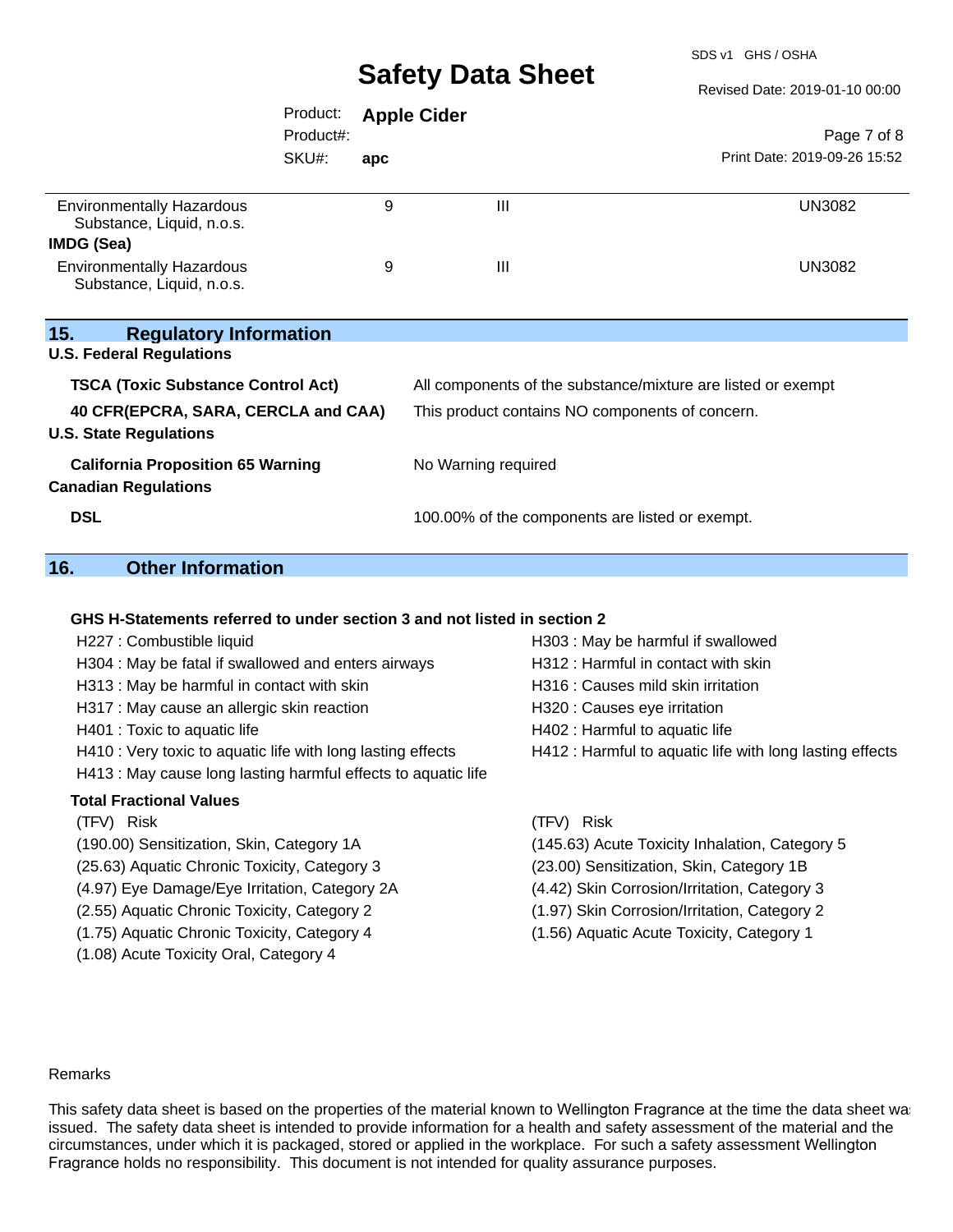SDS v1 GHS / OSHA

Revised Date: 2019-01-10 00:00

|                                                                         | Product:<br>Product#: |                                                              | <b>Apple Cider</b> |                | Page 7 of 8                                     |  |
|-------------------------------------------------------------------------|-----------------------|--------------------------------------------------------------|--------------------|----------------|-------------------------------------------------|--|
|                                                                         | SKU#:                 | apc                                                          |                    |                | Print Date: 2019-09-26 15:52                    |  |
| <b>Environmentally Hazardous</b><br>Substance, Liquid, n.o.s.           |                       | 9                                                            |                    | $\mathbf{III}$ | <b>UN3082</b>                                   |  |
| IMDG (Sea)                                                              |                       |                                                              |                    |                |                                                 |  |
| <b>Environmentally Hazardous</b><br>Substance, Liquid, n.o.s.           |                       | 9                                                            |                    | $\mathbf{III}$ | UN3082                                          |  |
| 15.<br><b>Regulatory Information</b>                                    |                       |                                                              |                    |                |                                                 |  |
| <b>U.S. Federal Regulations</b>                                         |                       |                                                              |                    |                |                                                 |  |
| <b>TSCA (Toxic Substance Control Act)</b>                               |                       | All components of the substance/mixture are listed or exempt |                    |                |                                                 |  |
| 40 CFR(EPCRA, SARA, CERCLA and CAA)<br><b>U.S. State Regulations</b>    |                       | This product contains NO components of concern.              |                    |                |                                                 |  |
| <b>California Proposition 65 Warning</b><br><b>Canadian Regulations</b> |                       | No Warning required                                          |                    |                |                                                 |  |
| <b>DSL</b>                                                              |                       |                                                              |                    |                | 100.00% of the components are listed or exempt. |  |

## **16. Other Information**

#### **GHS H-Statements referred to under section 3 and not listed in section 2**

- 
- H304 : May be fatal if swallowed and enters airways **H312** : Harmful in contact with skin
- H313 : May be harmful in contact with skin H316 : Causes mild skin irritation
- H317 : May cause an allergic skin reaction H320 : Causes eye irritation
- 
- H410 : Very toxic to aquatic life with long lasting effects H412 : Harmful to aquatic life with long lasting effects
- H413 : May cause long lasting harmful effects to aquatic life

#### **Total Fractional Values**

- 
- 
- (25.63) Aquatic Chronic Toxicity, Category 3 (23.00) Sensitization, Skin, Category 1B
- (4.97) Eye Damage/Eye Irritation, Category 2A (4.42) Skin Corrosion/Irritation, Category 3
- 
- (1.75) Aquatic Chronic Toxicity, Category 4 (1.56) Aquatic Acute Toxicity, Category 1
- (1.08) Acute Toxicity Oral, Category 4
- H227 : Combustible liquid H303 : May be harmful if swallowed
	-
	-
	-
- H401 : Toxic to aquatic life **H402** : Harmful to aquatic life
	-

(TFV) Risk (TFV) Risk

- (190.00) Sensitization, Skin, Category 1A (145.63) Acute Toxicity Inhalation, Category 5
	-
	-
- (2.55) Aquatic Chronic Toxicity, Category 2 (1.97) Skin Corrosion/Irritation, Category 2
	-

#### Remarks

This safety data sheet is based on the properties of the material known to Wellington Fragrance at the time the data sheet was issued. The safety data sheet is intended to provide information for a health and safety assessment of the material and the circumstances, under which it is packaged, stored or applied in the workplace. For such a safety assessment Wellington Fragrance holds no responsibility. This document is not intended for quality assurance purposes.